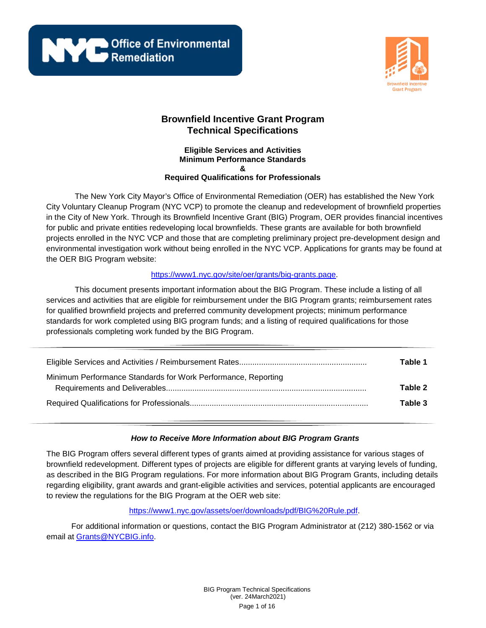**NEW Office of Environmental** 



# **Brownfield Incentive Grant Program Technical Specifications**

#### **Eligible Services and Activities Minimum Performance Standards & Required Qualifications for Professionals**

The New York City Mayor's Office of Environmental Remediation (OER) has established the New York City Voluntary Cleanup Program (NYC VCP) to promote the cleanup and redevelopment of brownfield properties in the City of New York. Through its Brownfield Incentive Grant (BIG) Program, OER provides financial incentives for public and private entities redeveloping local brownfields. These grants are available for both brownfield projects enrolled in the NYC VCP and those that are completing preliminary project pre-development design and environmental investigation work without being enrolled in the NYC VCP. Applications for grants may be found at the OER BIG Program website:

# [https://www1.nyc.gov/site/oer/grants/big-grants.page.](https://www1.nyc.gov/site/oer/grants/big-grants.page)

This document presents important information about the BIG Program. These include a listing of all services and activities that are eligible for reimbursement under the BIG Program grants; reimbursement rates for qualified brownfield projects and preferred community development projects; minimum performance standards for work completed using BIG program funds; and a listing of required qualifications for those professionals completing work funded by the BIG Program.

|                                                               | Table 1 |
|---------------------------------------------------------------|---------|
| Minimum Performance Standards for Work Performance, Reporting | Table 2 |
|                                                               | Table 3 |

# *How to Receive More Information about BIG Program Grants*

The BIG Program offers several different types of grants aimed at providing assistance for various stages of brownfield redevelopment. Different types of projects are eligible for different grants at varying levels of funding, as described in the BIG Program regulations. For more information about BIG Program Grants, including details regarding eligibility, grant awards and grant-eligible activities and services, potential applicants are encouraged to review the regulations for the BIG Program at the OER web site:

[https://www1.nyc.gov/assets/oer/downloads/pdf/BIG%20Rule.pdf.](https://www1.nyc.gov/assets/oer/downloads/pdf/BIG%20Rule.pdf)

For additional information or questions, contact the BIG Program Administrator at (212) 380-1562 or via email at [Grants@NYCBIG.info.](mailto:Grants@NYCBIG.info)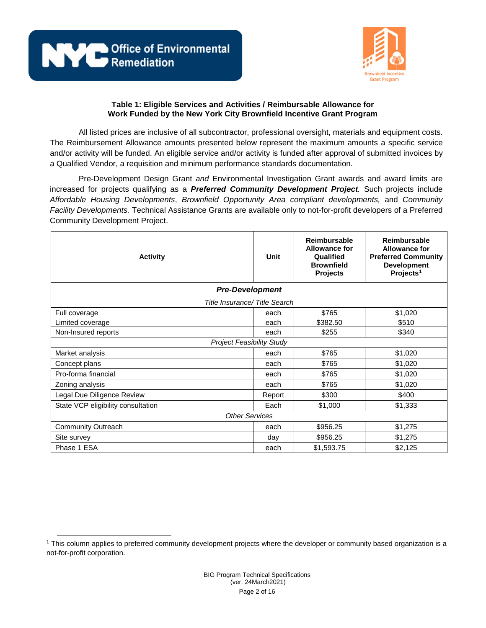



All listed prices are inclusive of all subcontractor, professional oversight, materials and equipment costs. The Reimbursement Allowance amounts presented below represent the maximum amounts a specific service and/or activity will be funded. An eligible service and/or activity is funded after approval of submitted invoices by a Qualified Vendor, a requisition and minimum performance standards documentation.

Pre-Development Design Grant *and* Environmental Investigation Grant awards and award limits are increased for projects qualifying as a *Preferred Community Development Project.* Such projects include *Affordable Housing Developments*, *Brownfield Opportunity Area compliant developments,* and *Community Facility Developments.* Technical Assistance Grants are available only to not-for-profit developers of a Preferred Community Development Project.

| <b>Activity</b>                    | Unit   | <b>Reimbursable</b><br><b>Allowance for</b><br>Qualified<br><b>Brownfield</b><br><b>Projects</b> | <b>Reimbursable</b><br><b>Allowance for</b><br><b>Preferred Community</b><br><b>Development</b><br>Projects <sup>1</sup> |
|------------------------------------|--------|--------------------------------------------------------------------------------------------------|--------------------------------------------------------------------------------------------------------------------------|
| <b>Pre-Development</b>             |        |                                                                                                  |                                                                                                                          |
| Title Insurance/Title Search       |        |                                                                                                  |                                                                                                                          |
| Full coverage                      | each   | \$765                                                                                            | \$1,020                                                                                                                  |
| Limited coverage                   | each   | \$382.50                                                                                         | \$510                                                                                                                    |
| Non-Insured reports                | each   | \$255                                                                                            | \$340                                                                                                                    |
| <b>Project Feasibility Study</b>   |        |                                                                                                  |                                                                                                                          |
| Market analysis                    | each   | \$765                                                                                            | \$1,020                                                                                                                  |
| Concept plans                      | each   | \$765                                                                                            | \$1,020                                                                                                                  |
| Pro-forma financial                | each   | \$765                                                                                            | \$1,020                                                                                                                  |
| Zoning analysis                    | each   | \$765                                                                                            | \$1,020                                                                                                                  |
| Legal Due Diligence Review         | Report | \$300                                                                                            | \$400                                                                                                                    |
| State VCP eligibility consultation | Each   | \$1,000                                                                                          | \$1,333                                                                                                                  |
| <b>Other Services</b>              |        |                                                                                                  |                                                                                                                          |
| <b>Community Outreach</b>          | each   | \$956.25                                                                                         | \$1,275                                                                                                                  |
| Site survey                        | day    | \$956.25                                                                                         | \$1,275                                                                                                                  |
| Phase 1 ESA                        | each   | \$1,593.75                                                                                       | \$2,125                                                                                                                  |

<span id="page-1-0"></span> $\overline{a}$ <sup>1</sup> This column applies to preferred community development projects where the developer or community based organization is a not-for-profit corporation.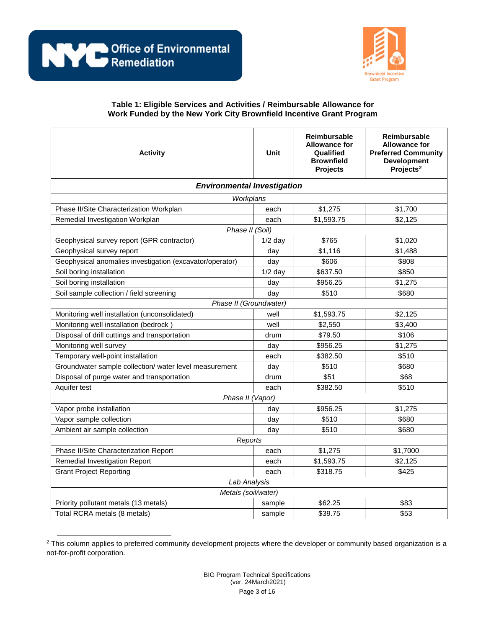

| <b>Activity</b>                                          | Unit      | Reimbursable<br><b>Allowance for</b><br>Qualified<br><b>Brownfield</b><br><b>Projects</b> | Reimbursable<br><b>Allowance for</b><br><b>Preferred Community</b><br><b>Development</b><br>Projects <sup>2</sup> |
|----------------------------------------------------------|-----------|-------------------------------------------------------------------------------------------|-------------------------------------------------------------------------------------------------------------------|
| <b>Environmental Investigation</b>                       |           |                                                                                           |                                                                                                                   |
| Workplans                                                |           |                                                                                           |                                                                                                                   |
| Phase II/Site Characterization Workplan                  | each      | \$1,275                                                                                   | \$1,700                                                                                                           |
| Remedial Investigation Workplan                          | each      | \$1,593.75                                                                                | \$2,125                                                                                                           |
| Phase II (Soil)                                          |           |                                                                                           |                                                                                                                   |
| Geophysical survey report (GPR contractor)               | $1/2$ day | \$765                                                                                     | \$1,020                                                                                                           |
| Geophysical survey report                                | day       | \$1,116                                                                                   | \$1,488                                                                                                           |
| Geophysical anomalies investigation (excavator/operator) | day       | \$606                                                                                     | \$808                                                                                                             |
| Soil boring installation                                 | $1/2$ day | \$637.50                                                                                  | \$850                                                                                                             |
| Soil boring installation                                 | day       | \$956.25                                                                                  | \$1,275                                                                                                           |
| Soil sample collection / field screening                 | day       | \$510                                                                                     | \$680                                                                                                             |
| Phase II (Groundwater)                                   |           |                                                                                           |                                                                                                                   |
| Monitoring well installation (unconsolidated)            | well      | \$1,593.75                                                                                | \$2,125                                                                                                           |
| Monitoring well installation (bedrock)                   | well      | \$2,550                                                                                   | \$3,400                                                                                                           |
| Disposal of drill cuttings and transportation            | drum      | \$79.50                                                                                   | \$106                                                                                                             |
| Monitoring well survey                                   | day       | \$956.25                                                                                  | \$1,275                                                                                                           |
| Temporary well-point installation                        | each      | \$382.50                                                                                  | \$510                                                                                                             |
| Groundwater sample collection/ water level measurement   | day       | \$510                                                                                     | \$680                                                                                                             |
| Disposal of purge water and transportation               | drum      | \$51                                                                                      | \$68                                                                                                              |
| Aquifer test                                             | each      | \$382.50                                                                                  | \$510                                                                                                             |
| Phase II (Vapor)                                         |           |                                                                                           |                                                                                                                   |
| Vapor probe installation                                 | day       | \$956.25                                                                                  | \$1,275                                                                                                           |
| Vapor sample collection                                  | day       | \$510                                                                                     | \$680                                                                                                             |
| Ambient air sample collection                            | day       | \$510                                                                                     | \$680                                                                                                             |
| Reports                                                  |           |                                                                                           |                                                                                                                   |
| Phase II/Site Characterization Report                    | each      | \$1,275                                                                                   | \$1,7000                                                                                                          |
| Remedial Investigation Report                            | each      | \$1,593.75                                                                                | \$2,125                                                                                                           |
| <b>Grant Project Reporting</b>                           | each      | \$318.75                                                                                  | \$425                                                                                                             |
| Lab Analysis                                             |           |                                                                                           |                                                                                                                   |
| Metals (soil/water)                                      |           |                                                                                           |                                                                                                                   |
| Priority pollutant metals (13 metals)                    | sample    | \$62.25                                                                                   | \$83                                                                                                              |
| Total RCRA metals (8 metals)                             | sample    | \$39.75                                                                                   | \$53                                                                                                              |

<span id="page-2-0"></span> $\overline{a}$ <sup>2</sup> This column applies to preferred community development projects where the developer or community based organization is a not-for-profit corporation.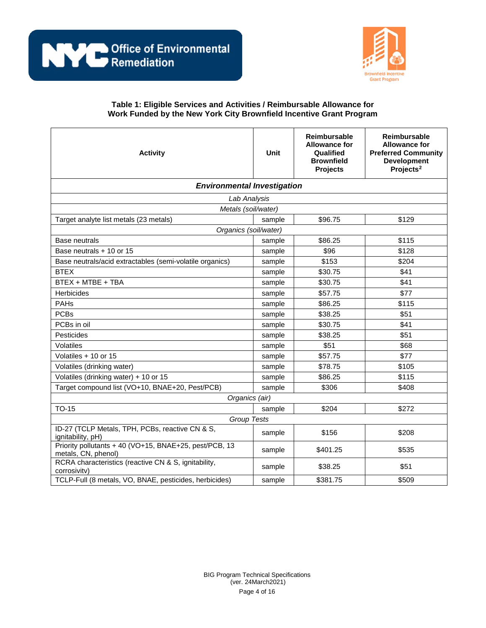

| <b>Activity</b>                                                               | Unit   | <b>Reimbursable</b><br><b>Allowance for</b><br>Qualified<br><b>Brownfield</b><br><b>Projects</b> | <b>Reimbursable</b><br><b>Allowance for</b><br><b>Preferred Community</b><br><b>Development</b><br>Projects <sup>2</sup> |
|-------------------------------------------------------------------------------|--------|--------------------------------------------------------------------------------------------------|--------------------------------------------------------------------------------------------------------------------------|
| <b>Environmental Investigation</b>                                            |        |                                                                                                  |                                                                                                                          |
| Lab Analysis                                                                  |        |                                                                                                  |                                                                                                                          |
| Metals (soil/water)                                                           |        |                                                                                                  |                                                                                                                          |
| Target analyte list metals (23 metals)                                        | sample | \$96.75                                                                                          | \$129                                                                                                                    |
| Organics (soil/water)                                                         |        |                                                                                                  |                                                                                                                          |
| <b>Base neutrals</b>                                                          | sample | \$86.25                                                                                          | \$115                                                                                                                    |
| Base neutrals + 10 or 15                                                      | sample | \$96                                                                                             | \$128                                                                                                                    |
| Base neutrals/acid extractables (semi-volatile organics)                      | sample | \$153                                                                                            | \$204                                                                                                                    |
| <b>BTEX</b>                                                                   | sample | \$30.75                                                                                          | \$41                                                                                                                     |
| BTEX + MTBE + TBA                                                             | sample | \$30.75                                                                                          | \$41                                                                                                                     |
| Herbicides                                                                    | sample | \$57.75                                                                                          | \$77                                                                                                                     |
| PAHs                                                                          | sample | \$86.25                                                                                          | \$115                                                                                                                    |
| <b>PCBs</b>                                                                   | sample | \$38.25                                                                                          | \$51                                                                                                                     |
| PCBs in oil                                                                   | sample | \$30.75                                                                                          | \$41                                                                                                                     |
| Pesticides                                                                    | sample | \$38.25                                                                                          | \$51                                                                                                                     |
| Volatiles                                                                     | sample | \$51                                                                                             | \$68                                                                                                                     |
| Volatiles + 10 or 15                                                          | sample | \$57.75                                                                                          | \$77                                                                                                                     |
| Volatiles (drinking water)                                                    | sample | \$78.75                                                                                          | \$105                                                                                                                    |
| Volatiles (drinking water) + 10 or 15                                         | sample | \$86.25                                                                                          | \$115                                                                                                                    |
| Target compound list (VO+10, BNAE+20, Pest/PCB)                               | sample | \$306                                                                                            | \$408                                                                                                                    |
| Organics (air)                                                                |        |                                                                                                  |                                                                                                                          |
| <b>TO-15</b>                                                                  | sample | \$204                                                                                            | \$272                                                                                                                    |
| <b>Group Tests</b>                                                            |        |                                                                                                  |                                                                                                                          |
| ID-27 (TCLP Metals, TPH, PCBs, reactive CN & S,<br>ignitability, pH)          | sample | \$156                                                                                            | \$208                                                                                                                    |
| Priority pollutants + 40 (VO+15, BNAE+25, pest/PCB, 13<br>metals, CN, phenol) | sample | \$401.25                                                                                         | \$535                                                                                                                    |
| RCRA characteristics (reactive CN & S, ignitability,<br>corrosivity)          | sample | \$38.25                                                                                          | \$51                                                                                                                     |
| TCLP-Full (8 metals, VO, BNAE, pesticides, herbicides)                        | sample | \$381.75                                                                                         | \$509                                                                                                                    |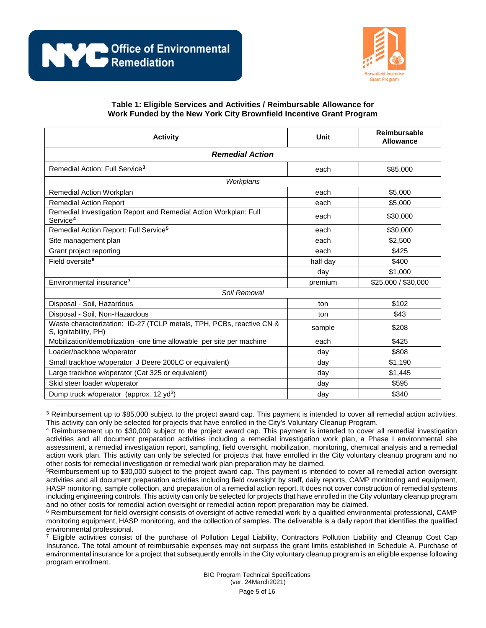

| <b>Activity</b>                                                                              | Unit     | <b>Reimbursable</b><br><b>Allowance</b> |
|----------------------------------------------------------------------------------------------|----------|-----------------------------------------|
| <b>Remedial Action</b>                                                                       |          |                                         |
| Remedial Action: Full Service <sup>3</sup>                                                   | each     | \$85,000                                |
| Workplans                                                                                    |          |                                         |
| Remedial Action Workplan                                                                     | each     | \$5,000                                 |
| <b>Remedial Action Report</b>                                                                | each     | \$5,000                                 |
| Remedial Investigation Report and Remedial Action Workplan: Full<br>Service <sup>4</sup>     | each     | \$30,000                                |
| Remedial Action Report: Full Service <sup>5</sup>                                            | each     | \$30,000                                |
| Site management plan                                                                         | each     | \$2,500                                 |
| Grant project reporting                                                                      | each     | \$425                                   |
| Field oversite <sup>6</sup>                                                                  | half day | \$400                                   |
|                                                                                              | day      | \$1,000                                 |
| Environmental insurance <sup>7</sup>                                                         | premium  | \$25,000 / \$30,000                     |
| Soil Removal                                                                                 |          |                                         |
| Disposal - Soil, Hazardous                                                                   | ton      | \$102                                   |
| Disposal - Soil, Non-Hazardous                                                               | ton      | \$43                                    |
| Waste characterization: ID-27 (TCLP metals, TPH, PCBs, reactive CN &<br>S, ignitability, PH) | sample   | \$208                                   |
| Mobilization/demobilization -one time allowable per site per machine                         | each     | \$425                                   |
| Loader/backhoe w/operator                                                                    | day      | \$808                                   |
| Small trackhoe w/operator J Deere 200LC or equivalent)                                       | day      | \$1,190                                 |
| Large trackhoe w/operator (Cat 325 or equivalent)                                            | day      | \$1,445                                 |
| Skid steer loader w/operator                                                                 | day      | \$595                                   |
| Dump truck w/operator (approx. 12 yd <sup>3</sup> )                                          | day      | \$340                                   |

<span id="page-4-0"></span> $\overline{a}$  $3$  Reimbursement up to \$85,000 subject to the project award cap. This payment is intended to cover all remedial action activities. This activity can only be selected for projects that have enrolled in the City's Voluntary Cleanup Program.

<span id="page-4-1"></span><sup>4</sup> Reimbursement up to \$30,000 subject to the project award cap. This payment is intended to cover all remedial investigation activities and all document preparation activities including a remedial investigation work plan, a Phase I environmental site assessment, a remedial investigation report, sampling, field oversight, mobilization, monitoring, chemical analysis and a remedial action work plan. This activity can only be selected for projects that have enrolled in the City voluntary cleanup program and no other costs for remedial investigation or remedial work plan preparation may be claimed.

<span id="page-4-2"></span>5Reimbursement up to \$30,000 subject to the project award cap. This payment is intended to cover all remedial action oversight activities and all document preparation activities including field oversight by staff, daily reports, CAMP monitoring and equipment, HASP monitoring, sample collection, and preparation of a remedial action report. It does not cover construction of remedial systems including engineering controls. This activity can only be selected for projects that have enrolled in the City voluntary cleanup program and no other costs for remedial action oversight or remedial action report preparation may be claimed.

<span id="page-4-3"></span><sup>6</sup> Reimbursement for field oversight consists of oversight of active remedial work by a qualified environmental professional, CAMP monitoring equipment, HASP monitoring, and the collection of samples. The deliverable is a daily report that identifies the qualified environmental professional.

<span id="page-4-4"></span> $<sup>7</sup>$  Eligible activities consist of the purchase of Pollution Legal Liability, Contractors Pollution Liability and Cleanup Cost Cap</sup> Insurance. The total amount of reimbursable expenses may not surpass the grant limits established in Schedule A. Purchase of environmental insurance for a project that subsequently enrolls in the City voluntary cleanup program is an eligible expense following program enrollment.

> BIG Program Technical Specifications (ver. 24March2021) Page 5 of 16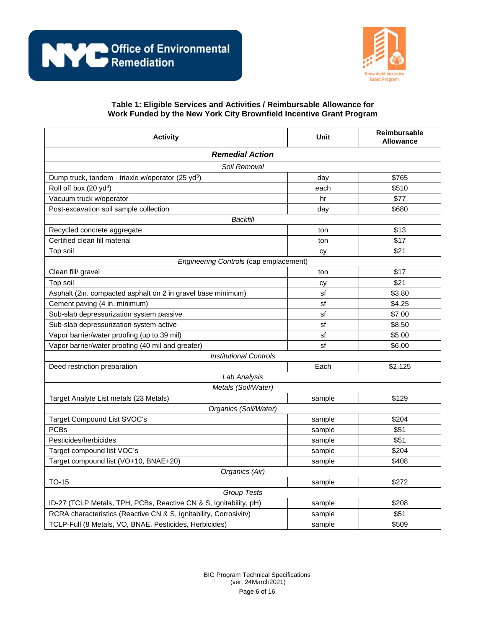

| <b>Activity</b>                                                   | <b>Unit</b> | Reimbursable<br><b>Allowance</b> |
|-------------------------------------------------------------------|-------------|----------------------------------|
| <b>Remedial Action</b>                                            |             |                                  |
| Soil Removal                                                      |             |                                  |
| Dump truck, tandem - triaxle w/operator (25 yd <sup>3</sup> )     | day         | \$765                            |
| Roll off box (20 yd <sup>3</sup> )                                | each        | \$510                            |
| Vacuum truck w/operator                                           | hr          | \$77                             |
| Post-excavation soil sample collection                            | day         | \$680                            |
| Backfill                                                          |             |                                  |
| Recycled concrete aggregate                                       | ton         | \$13                             |
| Certified clean fill material                                     | ton         | \$17                             |
| Top soil                                                          | cy          | \$21                             |
| Engineering Controls (cap emplacement)                            |             |                                  |
| Clean fill/ gravel                                                | ton         | \$17                             |
| Top soil                                                          | сy          | \$21                             |
| Asphalt (2in. compacted asphalt on 2 in gravel base minimum)      | sf          | \$3.80                           |
| Cement paving (4 in. minimum)                                     | sf          | \$4.25                           |
| Sub-slab depressurization system passive                          | sf          | \$7.00                           |
| Sub-slab depressurization system active                           | sf          | \$8.50                           |
| Vapor barrier/water proofing (up to 39 mil)                       | sf          | \$5.00                           |
| Vapor barrier/water proofing (40 mil and greater)                 | sf          | \$6.00                           |
| <b>Institutional Controls</b>                                     |             |                                  |
| Deed restriction preparation                                      | Each        | \$2,125                          |
| Lab Analysis                                                      |             |                                  |
| Metals (Soil/Water)                                               |             |                                  |
| Target Analyte List metals (23 Metals)                            | sample      | \$129                            |
| Organics (Soil/Water)                                             |             |                                  |
| Target Compound List SVOC's                                       | sample      | \$204                            |
| <b>PCBs</b>                                                       | sample      | \$51                             |
| Pesticides/herbicides                                             | sample      | \$51                             |
| Target compound list VOC's                                        | sample      | \$204                            |
| Target compound list (VO+10, BNAE+20)                             | sample      | \$408                            |
| Organics (Air)                                                    |             |                                  |
| TO-15                                                             | sample      | \$272                            |
| Group Tests                                                       |             |                                  |
| ID-27 (TCLP Metals, TPH, PCBs, Reactive CN & S, Ignitability, pH) | sample      | \$208                            |
| RCRA characteristics (Reactive CN & S, Ignitability, Corrosivity) | sample      | \$51                             |
| TCLP-Full (8 Metals, VO, BNAE, Pesticides, Herbicides)            | sample      | \$509                            |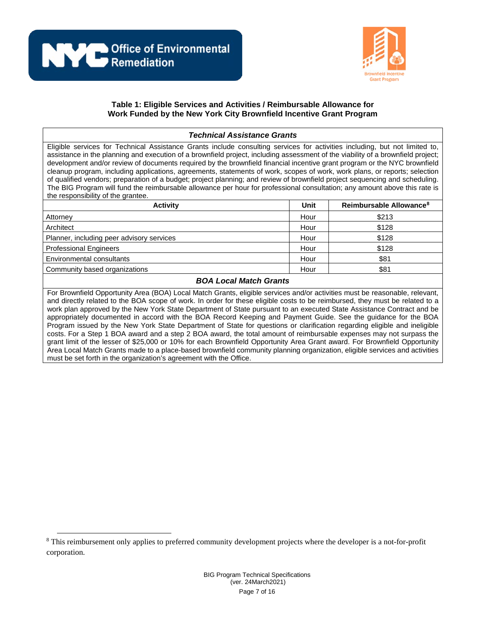

#### *Technical Assistance Grants* Eligible services for Technical Assistance Grants include consulting services for activities including, but not limited to, assistance in the planning and execution of a brownfield project, including assessment of the viability of a brownfield project; development and/or review of documents required by the brownfield financial incentive grant program or the NYC brownfield cleanup program, including applications, agreements, statements of work, scopes of work, work plans, or reports; selection of qualified vendors; preparation of a budget; project planning; and review of brownfield project sequencing and scheduling. The BIG Program will fund the reimbursable allowance per hour for professional consultation; any amount above this rate is the responsibility of the grantee. **Activity Unit Reimbursable Allowance[8](#page-6-0)** Attorney Hour \$213 Architect Hour \$128 Planner, including peer advisory services Hour Blanner, including peer advisory services Professional Engineers **Hour Engineers** Hour **Business Engineers** Hour **\$128** Environmental consultants **Environmental consultants Hour** \$81 Community based organizations example and the set of the set of the set of the set of the set of the set of the set of the set of the set of the set of the set of the set of the set of the set of the set of the set of the

### *BOA Local Match Grants*

For Brownfield Opportunity Area (BOA) Local Match Grants, eligible services and/or activities must be reasonable, relevant, and directly related to the BOA scope of work. In order for these eligible costs to be reimbursed, they must be related to a work plan approved by the New York State Department of State pursuant to an executed State Assistance Contract and be appropriately documented in accord with the BOA Record Keeping and Payment Guide. See the guidance for the BOA Program issued by the New York State Department of State for questions or clarification regarding eligible and ineligible costs. For a Step 1 BOA award and a step 2 BOA award, the total amount of reimbursable expenses may not surpass the grant limit of the lesser of \$25,000 or 10% for each Brownfield Opportunity Area Grant award. For Brownfield Opportunity Area Local Match Grants made to a place-based brownfield community planning organization, eligible services and activities must be set forth in the organization's agreement with the Office.

<span id="page-6-0"></span><sup>&</sup>lt;sup>8</sup> This reimbursement only applies to preferred community development projects where the developer is a not-for-profit corporation.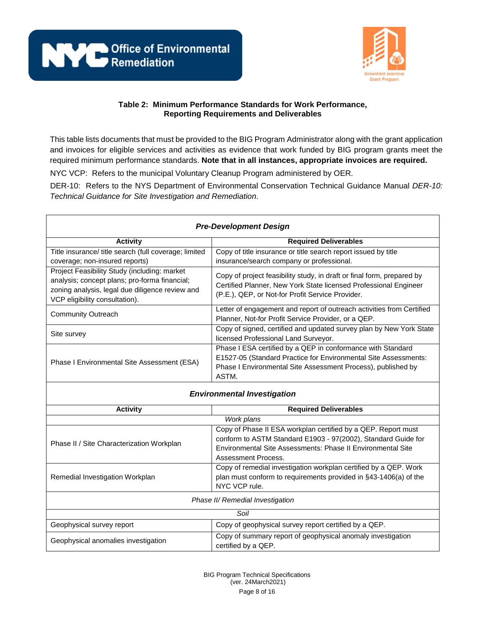



This table lists documents that must be provided to the BIG Program Administrator along with the grant application and invoices for eligible services and activities as evidence that work funded by BIG program grants meet the required minimum performance standards. **Note that in all instances, appropriate invoices are required.**

NYC VCP: Refers to the municipal Voluntary Cleanup Program administered by OER.

DER-10: Refers to the NYS Department of Environmental Conservation Technical Guidance Manual *DER-10: Technical Guidance for Site Investigation and Remediation*.

| <b>Pre-Development Design</b>                                                                                                                                                      |                                                                                                                                                                                                                      |  |
|------------------------------------------------------------------------------------------------------------------------------------------------------------------------------------|----------------------------------------------------------------------------------------------------------------------------------------------------------------------------------------------------------------------|--|
| <b>Activity</b>                                                                                                                                                                    | <b>Required Deliverables</b>                                                                                                                                                                                         |  |
| Title insurance/ title search (full coverage; limited                                                                                                                              | Copy of title insurance or title search report issued by title                                                                                                                                                       |  |
| coverage; non-insured reports)                                                                                                                                                     | insurance/search company or professional.                                                                                                                                                                            |  |
| Project Feasibility Study (including: market<br>analysis; concept plans; pro-forma financial;<br>zoning analysis, legal due diligence review and<br>VCP eligibility consultation). | Copy of project feasibility study, in draft or final form, prepared by<br>Certified Planner, New York State licensed Professional Engineer<br>(P.E.), QEP, or Not-for Profit Service Provider.                       |  |
| <b>Community Outreach</b>                                                                                                                                                          | Letter of engagement and report of outreach activities from Certified<br>Planner, Not-for Profit Service Provider, or a QEP.                                                                                         |  |
| Site survey                                                                                                                                                                        | Copy of signed, certified and updated survey plan by New York State<br>licensed Professional Land Surveyor.                                                                                                          |  |
| Phase I Environmental Site Assessment (ESA)                                                                                                                                        | Phase I ESA certified by a QEP in conformance with Standard<br>E1527-05 (Standard Practice for Environmental Site Assessments:<br>Phase I Environmental Site Assessment Process), published by<br>ASTM.              |  |
|                                                                                                                                                                                    | <b>Environmental Investigation</b>                                                                                                                                                                                   |  |
| <b>Activity</b>                                                                                                                                                                    | <b>Required Deliverables</b>                                                                                                                                                                                         |  |
|                                                                                                                                                                                    | Work plans                                                                                                                                                                                                           |  |
| Phase II / Site Characterization Workplan                                                                                                                                          | Copy of Phase II ESA workplan certified by a QEP. Report must<br>conform to ASTM Standard E1903 - 97(2002), Standard Guide for<br>Environmental Site Assessments: Phase II Environmental Site<br>Assessment Process. |  |
| Remedial Investigation Workplan                                                                                                                                                    | Copy of remedial investigation workplan certified by a QEP. Work<br>plan must conform to requirements provided in §43-1406(a) of the<br>NYC VCP rule.                                                                |  |
| Phase II/ Remedial Investigation                                                                                                                                                   |                                                                                                                                                                                                                      |  |
| Soil                                                                                                                                                                               |                                                                                                                                                                                                                      |  |
| Geophysical survey report                                                                                                                                                          | Copy of geophysical survey report certified by a QEP.                                                                                                                                                                |  |
| Geophysical anomalies investigation                                                                                                                                                | Copy of summary report of geophysical anomaly investigation<br>certified by a QEP.                                                                                                                                   |  |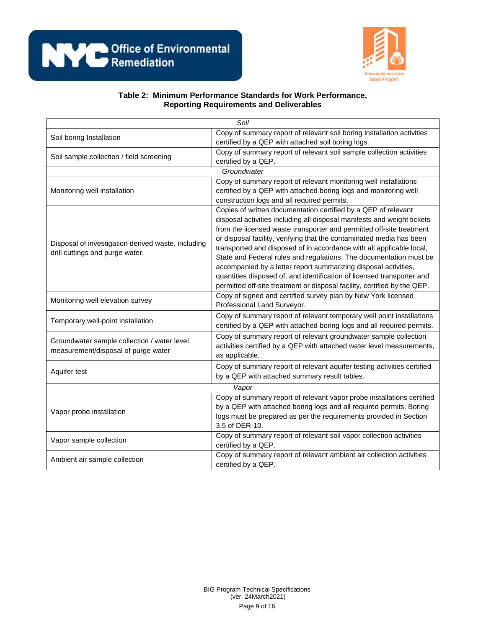

| Soil                                               |                                                                          |  |
|----------------------------------------------------|--------------------------------------------------------------------------|--|
| Soil boring Installation                           | Copy of summary report of relevant soil boring installation activities   |  |
|                                                    | certified by a QEP with attached soil boring logs.                       |  |
| Soil sample collection / field screening           | Copy of summary report of relevant soil sample collection activities     |  |
|                                                    | certified by a QEP.                                                      |  |
|                                                    | Groundwater                                                              |  |
|                                                    | Copy of summary report of relevant monitoring well installations         |  |
| Monitoring well installation                       | certified by a QEP with attached boring logs and monitoring well         |  |
|                                                    | construction logs and all required permits.                              |  |
|                                                    | Copies of written documentation certified by a QEP of relevant           |  |
|                                                    | disposal activities including all disposal manifests and weight tickets  |  |
|                                                    | from the licensed waste transporter and permitted off-site treatment     |  |
| Disposal of investigation derived waste, including | or disposal facility, verifying that the contaminated media has been     |  |
| drill cuttings and purge water.                    | transported and disposed of in accordance with all applicable local,     |  |
|                                                    | State and Federal rules and regulations. The documentation must be       |  |
|                                                    | accompanied by a letter report summarizing disposal activities,          |  |
|                                                    | quantities disposed of, and identification of licensed transporter and   |  |
|                                                    | permitted off-site treatment or disposal facility, certified by the QEP. |  |
| Monitoring well elevation survey                   | Copy of signed and certified survey plan by New York licensed            |  |
|                                                    | Professional Land Surveyor.                                              |  |
| Temporary well-point installation                  | Copy of summary report of relevant temporary well point installations    |  |
|                                                    | certified by a QEP with attached boring logs and all required permits.   |  |
| Groundwater sample collection / water level        | Copy of summary report of relevant groundwater sample collection         |  |
| measurement/disposal of purge water                | activities certified by a QEP with attached water level measurements,    |  |
|                                                    | as applicable.                                                           |  |
| Aquifer test                                       | Copy of summary report of relevant aquifer testing activities certified  |  |
|                                                    | by a QEP with attached summary result tables.                            |  |
| Vapor                                              |                                                                          |  |
|                                                    | Copy of summary report of relevant vapor probe installations certified   |  |
| Vapor probe installation                           | by a QEP with attached boring logs and all required permits. Boring      |  |
|                                                    | logs must be prepared as per the requirements provided in Section        |  |
|                                                    | 3.5 of DER-10.                                                           |  |
| Vapor sample collection                            | Copy of summary report of relevant soil vapor collection activities      |  |
|                                                    | certified by a QEP.                                                      |  |
| Ambient air sample collection                      | Copy of summary report of relevant ambient air collection activities     |  |
|                                                    | certified by a QEP.                                                      |  |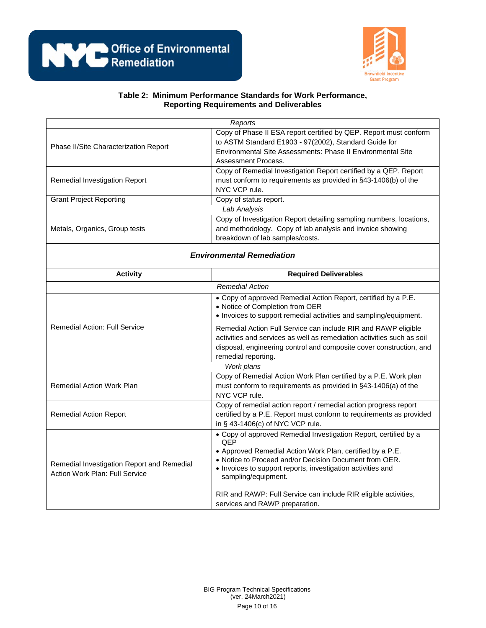

|                                                                              | Reports                                                                                                                                                                                                                                                                                                                                                 |  |
|------------------------------------------------------------------------------|---------------------------------------------------------------------------------------------------------------------------------------------------------------------------------------------------------------------------------------------------------------------------------------------------------------------------------------------------------|--|
| Phase II/Site Characterization Report                                        | Copy of Phase II ESA report certified by QEP. Report must conform<br>to ASTM Standard E1903 - 97(2002), Standard Guide for<br>Environmental Site Assessments: Phase II Environmental Site<br>Assessment Process.                                                                                                                                        |  |
| Remedial Investigation Report                                                | Copy of Remedial Investigation Report certified by a QEP. Report<br>must conform to requirements as provided in §43-1406(b) of the<br>NYC VCP rule.                                                                                                                                                                                                     |  |
| <b>Grant Project Reporting</b>                                               | Copy of status report.                                                                                                                                                                                                                                                                                                                                  |  |
|                                                                              | Lab Analysis                                                                                                                                                                                                                                                                                                                                            |  |
| Metals, Organics, Group tests                                                | Copy of Investigation Report detailing sampling numbers, locations,<br>and methodology. Copy of lab analysis and invoice showing<br>breakdown of lab samples/costs.                                                                                                                                                                                     |  |
| <b>Environmental Remediation</b>                                             |                                                                                                                                                                                                                                                                                                                                                         |  |
| <b>Activity</b>                                                              | <b>Required Deliverables</b>                                                                                                                                                                                                                                                                                                                            |  |
|                                                                              | <b>Remedial Action</b>                                                                                                                                                                                                                                                                                                                                  |  |
|                                                                              | • Copy of approved Remedial Action Report, certified by a P.E.<br>• Notice of Completion from OER<br>• Invoices to support remedial activities and sampling/equipment.                                                                                                                                                                                  |  |
| <b>Remedial Action: Full Service</b>                                         | Remedial Action Full Service can include RIR and RAWP eligible<br>activities and services as well as remediation activities such as soil<br>disposal, engineering control and composite cover construction, and<br>remedial reporting.                                                                                                                  |  |
|                                                                              | Work plans                                                                                                                                                                                                                                                                                                                                              |  |
| <b>Remedial Action Work Plan</b>                                             | Copy of Remedial Action Work Plan certified by a P.E. Work plan<br>must conform to requirements as provided in §43-1406(a) of the<br>NYC VCP rule.                                                                                                                                                                                                      |  |
| <b>Remedial Action Report</b>                                                | Copy of remedial action report / remedial action progress report<br>certified by a P.E. Report must conform to requirements as provided<br>in § 43-1406(c) of NYC VCP rule.                                                                                                                                                                             |  |
| Remedial Investigation Report and Remedial<br>Action Work Plan: Full Service | • Copy of approved Remedial Investigation Report, certified by a<br>QEP<br>• Approved Remedial Action Work Plan, certified by a P.E.<br>. Notice to Proceed and/or Decision Document from OER.<br>• Invoices to support reports, investigation activities and<br>sampling/equipment.<br>RIR and RAWP: Full Service can include RIR eligible activities, |  |

services and RAWP preparation.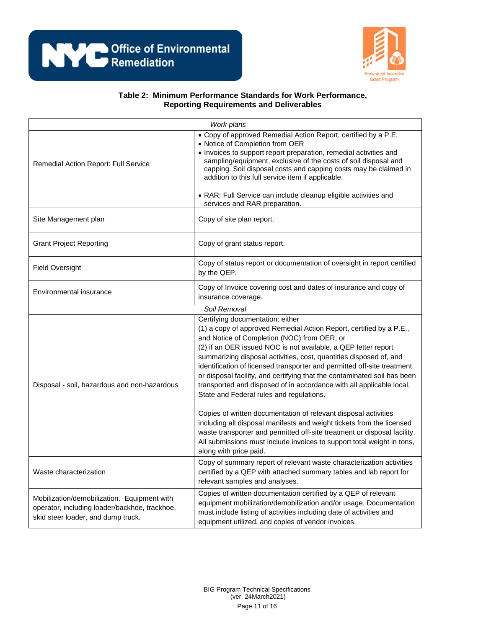

| Work plans                                                                                                                         |                                                                                                                                                                                                                                                                                                                                                                                                                                                                                                                                                                           |  |
|------------------------------------------------------------------------------------------------------------------------------------|---------------------------------------------------------------------------------------------------------------------------------------------------------------------------------------------------------------------------------------------------------------------------------------------------------------------------------------------------------------------------------------------------------------------------------------------------------------------------------------------------------------------------------------------------------------------------|--|
| Remedial Action Report: Full Service                                                                                               | • Copy of approved Remedial Action Report, certified by a P.E.<br>• Notice of Completion from OER<br>• Invoices to support report preparation, remedial activities and<br>sampling/equipment, exclusive of the costs of soil disposal and<br>capping. Soil disposal costs and capping costs may be claimed in<br>addition to this full service item if applicable.<br>• RAR: Full Service can include cleanup eligible activities and<br>services and RAR preparation.                                                                                                    |  |
| Site Management plan                                                                                                               | Copy of site plan report.                                                                                                                                                                                                                                                                                                                                                                                                                                                                                                                                                 |  |
| <b>Grant Project Reporting</b>                                                                                                     | Copy of grant status report.                                                                                                                                                                                                                                                                                                                                                                                                                                                                                                                                              |  |
| <b>Field Oversight</b>                                                                                                             | Copy of status report or documentation of oversight in report certified<br>by the QEP.                                                                                                                                                                                                                                                                                                                                                                                                                                                                                    |  |
| Environmental insurance                                                                                                            | Copy of Invoice covering cost and dates of insurance and copy of<br>insurance coverage.                                                                                                                                                                                                                                                                                                                                                                                                                                                                                   |  |
|                                                                                                                                    | Soil Removal                                                                                                                                                                                                                                                                                                                                                                                                                                                                                                                                                              |  |
| Disposal - soil, hazardous and non-hazardous                                                                                       | Certifying documentation: either<br>(1) a copy of approved Remedial Action Report, certified by a P.E.,<br>and Notice of Completion (NOC) from OER, or<br>(2) if an OER issued NOC is not available, a QEP letter report<br>summarizing disposal activities, cost, quantities disposed of, and<br>identification of licensed transporter and permitted off-site treatment<br>or disposal facility, and certifying that the contaminated soil has been<br>transported and disposed of in accordance with all applicable local,<br>State and Federal rules and regulations. |  |
|                                                                                                                                    | Copies of written documentation of relevant disposal activities<br>including all disposal manifests and weight tickets from the licensed<br>waste transporter and permitted off-site treatment or disposal facility.<br>All submissions must include invoices to support total weight in tons,<br>along with price paid.                                                                                                                                                                                                                                                  |  |
| Waste characterization                                                                                                             | Copy of summary report of relevant waste characterization activities<br>certified by a QEP with attached summary tables and lab report for<br>relevant samples and analyses.                                                                                                                                                                                                                                                                                                                                                                                              |  |
| Mobilization/demobilization. Equipment with<br>operator, including loader/backhoe, trackhoe,<br>skid steer loader, and dump truck. | Copies of written documentation certified by a QEP of relevant<br>equipment mobilization/demobilization and/or usage. Documentation<br>must include listing of activities including date of activities and<br>equipment utilized, and copies of vendor invoices.                                                                                                                                                                                                                                                                                                          |  |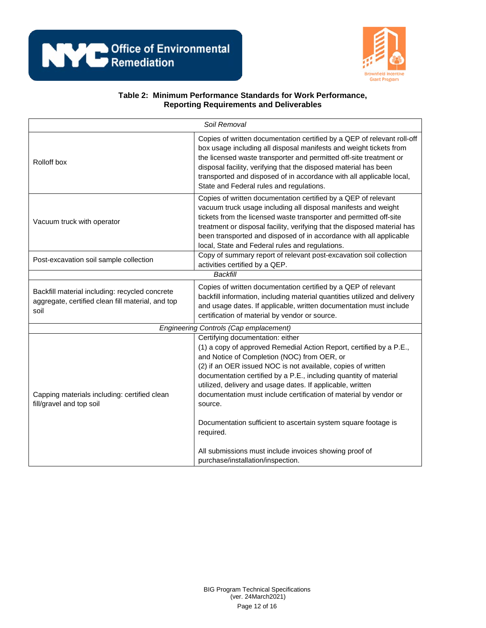

| Soil Removal                                                                                                |                                                                                                                                                                                                                                                                                                                                                                                                                                                                                                                                                                                    |  |
|-------------------------------------------------------------------------------------------------------------|------------------------------------------------------------------------------------------------------------------------------------------------------------------------------------------------------------------------------------------------------------------------------------------------------------------------------------------------------------------------------------------------------------------------------------------------------------------------------------------------------------------------------------------------------------------------------------|--|
| Rolloff box                                                                                                 | Copies of written documentation certified by a QEP of relevant roll-off<br>box usage including all disposal manifests and weight tickets from<br>the licensed waste transporter and permitted off-site treatment or<br>disposal facility, verifying that the disposed material has been<br>transported and disposed of in accordance with all applicable local,<br>State and Federal rules and regulations.                                                                                                                                                                        |  |
| Vacuum truck with operator                                                                                  | Copies of written documentation certified by a QEP of relevant<br>vacuum truck usage including all disposal manifests and weight<br>tickets from the licensed waste transporter and permitted off-site<br>treatment or disposal facility, verifying that the disposed material has<br>been transported and disposed of in accordance with all applicable<br>local, State and Federal rules and regulations.                                                                                                                                                                        |  |
| Post-excavation soil sample collection                                                                      | Copy of summary report of relevant post-excavation soil collection<br>activities certified by a QEP.                                                                                                                                                                                                                                                                                                                                                                                                                                                                               |  |
|                                                                                                             | <b>Backfill</b>                                                                                                                                                                                                                                                                                                                                                                                                                                                                                                                                                                    |  |
| Backfill material including: recycled concrete<br>aggregate, certified clean fill material, and top<br>soil | Copies of written documentation certified by a QEP of relevant<br>backfill information, including material quantities utilized and delivery<br>and usage dates. If applicable, written documentation must include<br>certification of material by vendor or source.                                                                                                                                                                                                                                                                                                                |  |
| <b>Engineering Controls (Cap emplacement)</b>                                                               |                                                                                                                                                                                                                                                                                                                                                                                                                                                                                                                                                                                    |  |
| Capping materials including: certified clean<br>fill/gravel and top soil                                    | Certifying documentation: either<br>(1) a copy of approved Remedial Action Report, certified by a P.E.,<br>and Notice of Completion (NOC) from OER, or<br>(2) if an OER issued NOC is not available, copies of written<br>documentation certified by a P.E., including quantity of material<br>utilized, delivery and usage dates. If applicable, written<br>documentation must include certification of material by vendor or<br>source.<br>Documentation sufficient to ascertain system square footage is<br>required.<br>All submissions must include invoices showing proof of |  |
|                                                                                                             | purchase/installation/inspection.                                                                                                                                                                                                                                                                                                                                                                                                                                                                                                                                                  |  |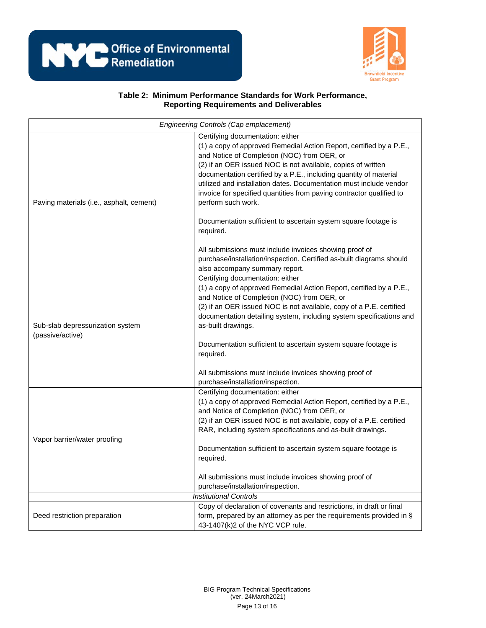



| Engineering Controls (Cap emplacement)               |                                                                                                                                                                                                                                                                                                                                                                                                                                                                 |  |
|------------------------------------------------------|-----------------------------------------------------------------------------------------------------------------------------------------------------------------------------------------------------------------------------------------------------------------------------------------------------------------------------------------------------------------------------------------------------------------------------------------------------------------|--|
| Paving materials (i.e., asphalt, cement)             | Certifying documentation: either<br>(1) a copy of approved Remedial Action Report, certified by a P.E.,<br>and Notice of Completion (NOC) from OER, or<br>(2) if an OER issued NOC is not available, copies of written<br>documentation certified by a P.E., including quantity of material<br>utilized and installation dates. Documentation must include vendor<br>invoice for specified quantities from paving contractor qualified to<br>perform such work. |  |
|                                                      | Documentation sufficient to ascertain system square footage is<br>required.                                                                                                                                                                                                                                                                                                                                                                                     |  |
|                                                      | All submissions must include invoices showing proof of<br>purchase/installation/inspection. Certified as-built diagrams should<br>also accompany summary report.                                                                                                                                                                                                                                                                                                |  |
| Sub-slab depressurization system<br>(passive/active) | Certifying documentation: either<br>(1) a copy of approved Remedial Action Report, certified by a P.E.,<br>and Notice of Completion (NOC) from OER, or<br>(2) if an OER issued NOC is not available, copy of a P.E. certified<br>documentation detailing system, including system specifications and<br>as-built drawings.<br>Documentation sufficient to ascertain system square footage is<br>required.                                                       |  |
|                                                      | All submissions must include invoices showing proof of<br>purchase/installation/inspection.                                                                                                                                                                                                                                                                                                                                                                     |  |
| Vapor barrier/water proofing                         | Certifying documentation: either<br>(1) a copy of approved Remedial Action Report, certified by a P.E.,<br>and Notice of Completion (NOC) from OER, or<br>(2) if an OER issued NOC is not available, copy of a P.E. certified<br>RAR, including system specifications and as-built drawings.<br>Documentation sufficient to ascertain system square footage is<br>required.<br>All submissions must include invoices showing proof of                           |  |
|                                                      | purchase/installation/inspection.                                                                                                                                                                                                                                                                                                                                                                                                                               |  |
|                                                      | <b>Institutional Controls</b>                                                                                                                                                                                                                                                                                                                                                                                                                                   |  |
| Deed restriction preparation                         | Copy of declaration of covenants and restrictions, in draft or final<br>form, prepared by an attorney as per the requirements provided in §<br>43-1407(k)2 of the NYC VCP rule.                                                                                                                                                                                                                                                                                 |  |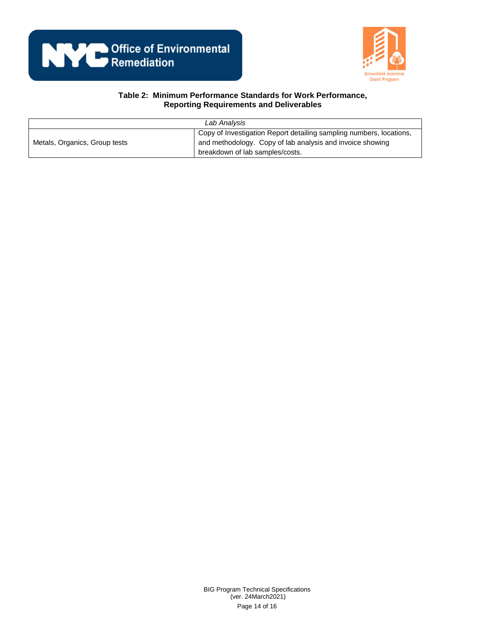



| Lab Analysis                  |                                                                                                                                                                     |
|-------------------------------|---------------------------------------------------------------------------------------------------------------------------------------------------------------------|
| Metals, Organics, Group tests | Copy of Investigation Report detailing sampling numbers, locations,<br>and methodology. Copy of lab analysis and invoice showing<br>breakdown of lab samples/costs. |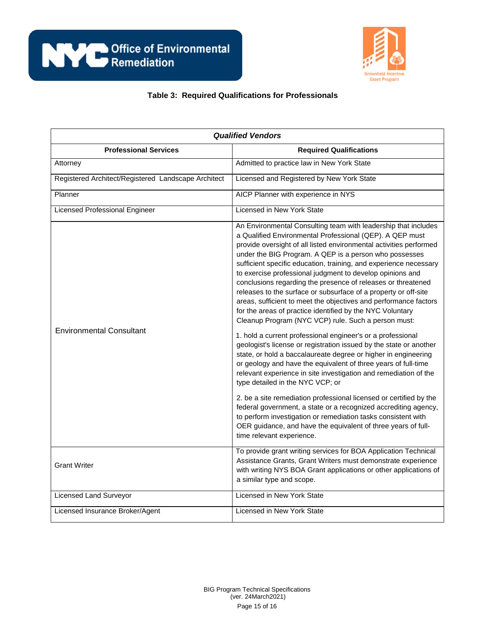

## **Table 3: Required Qualifications for Professionals**

| <b>Qualified Vendors</b>                            |                                                                                                                                                                                                                                                                                                                                                                                                                                                                                                                                                                                                                                                                                                                                                                                                                                                                                                                                                                                                                                                                                                                                                                                                                                                                                                                                                                                                                  |  |
|-----------------------------------------------------|------------------------------------------------------------------------------------------------------------------------------------------------------------------------------------------------------------------------------------------------------------------------------------------------------------------------------------------------------------------------------------------------------------------------------------------------------------------------------------------------------------------------------------------------------------------------------------------------------------------------------------------------------------------------------------------------------------------------------------------------------------------------------------------------------------------------------------------------------------------------------------------------------------------------------------------------------------------------------------------------------------------------------------------------------------------------------------------------------------------------------------------------------------------------------------------------------------------------------------------------------------------------------------------------------------------------------------------------------------------------------------------------------------------|--|
| <b>Professional Services</b>                        | <b>Required Qualifications</b>                                                                                                                                                                                                                                                                                                                                                                                                                                                                                                                                                                                                                                                                                                                                                                                                                                                                                                                                                                                                                                                                                                                                                                                                                                                                                                                                                                                   |  |
| Attorney                                            | Admitted to practice law in New York State                                                                                                                                                                                                                                                                                                                                                                                                                                                                                                                                                                                                                                                                                                                                                                                                                                                                                                                                                                                                                                                                                                                                                                                                                                                                                                                                                                       |  |
| Registered Architect/Registered Landscape Architect | Licensed and Registered by New York State                                                                                                                                                                                                                                                                                                                                                                                                                                                                                                                                                                                                                                                                                                                                                                                                                                                                                                                                                                                                                                                                                                                                                                                                                                                                                                                                                                        |  |
| Planner                                             | AICP Planner with experience in NYS                                                                                                                                                                                                                                                                                                                                                                                                                                                                                                                                                                                                                                                                                                                                                                                                                                                                                                                                                                                                                                                                                                                                                                                                                                                                                                                                                                              |  |
| Licensed Professional Engineer                      | Licensed in New York State                                                                                                                                                                                                                                                                                                                                                                                                                                                                                                                                                                                                                                                                                                                                                                                                                                                                                                                                                                                                                                                                                                                                                                                                                                                                                                                                                                                       |  |
| <b>Environmental Consultant</b>                     | An Environmental Consulting team with leadership that includes<br>a Qualified Environmental Professional (QEP). A QEP must<br>provide oversight of all listed environmental activities performed<br>under the BIG Program. A QEP is a person who possesses<br>sufficient specific education, training, and experience necessary<br>to exercise professional judgment to develop opinions and<br>conclusions regarding the presence of releases or threatened<br>releases to the surface or subsurface of a property or off-site<br>areas, sufficient to meet the objectives and performance factors<br>for the areas of practice identified by the NYC Voluntary<br>Cleanup Program (NYC VCP) rule. Such a person must:<br>1. hold a current professional engineer's or a professional<br>geologist's license or registration issued by the state or another<br>state, or hold a baccalaureate degree or higher in engineering<br>or geology and have the equivalent of three years of full-time<br>relevant experience in site investigation and remediation of the<br>type detailed in the NYC VCP; or<br>2. be a site remediation professional licensed or certified by the<br>federal government, a state or a recognized accrediting agency,<br>to perform investigation or remediation tasks consistent with<br>OER guidance, and have the equivalent of three years of full-<br>time relevant experience. |  |
| <b>Grant Writer</b>                                 | To provide grant writing services for BOA Application Technical<br>Assistance Grants, Grant Writers must demonstrate experience<br>with writing NYS BOA Grant applications or other applications of<br>a similar type and scope.                                                                                                                                                                                                                                                                                                                                                                                                                                                                                                                                                                                                                                                                                                                                                                                                                                                                                                                                                                                                                                                                                                                                                                                 |  |
| Licensed Land Surveyor                              | Licensed in New York State                                                                                                                                                                                                                                                                                                                                                                                                                                                                                                                                                                                                                                                                                                                                                                                                                                                                                                                                                                                                                                                                                                                                                                                                                                                                                                                                                                                       |  |
| Licensed Insurance Broker/Agent                     | Licensed in New York State                                                                                                                                                                                                                                                                                                                                                                                                                                                                                                                                                                                                                                                                                                                                                                                                                                                                                                                                                                                                                                                                                                                                                                                                                                                                                                                                                                                       |  |